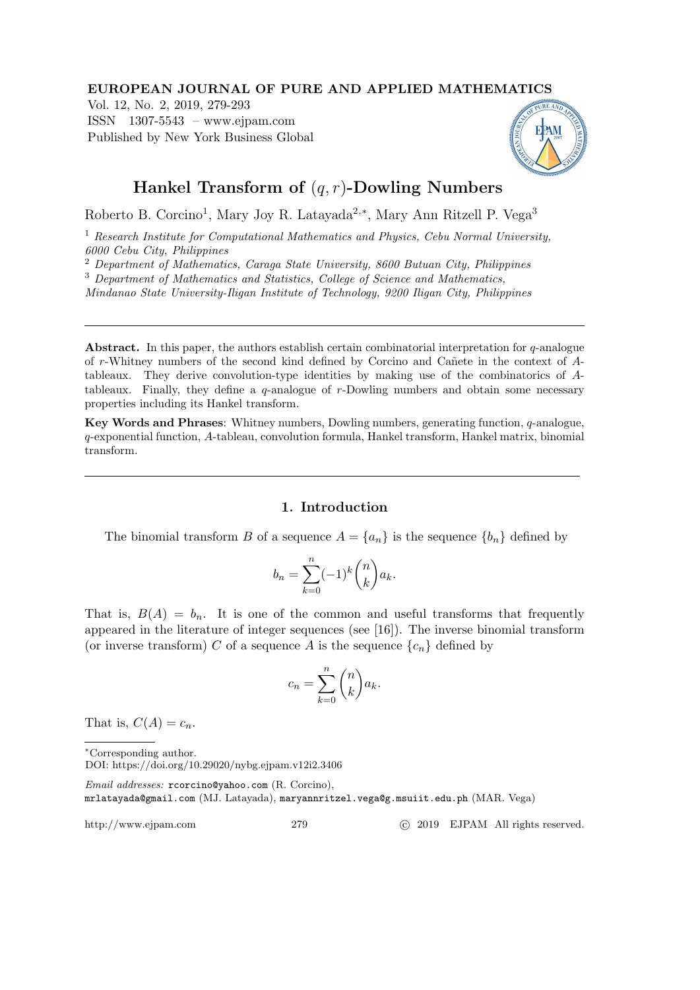## EUROPEAN JOURNAL OF PURE AND APPLIED MATHEMATICS

Vol. 12, No. 2, 2019, 279-293 ISSN 1307-5543 – www.ejpam.com Published by New York Business Global



# Hankel Transform of  $(q, r)$ -Dowling Numbers

Roberto B. Corcino<sup>1</sup>, Mary Joy R. Latayada<sup>2,\*</sup>, Mary Ann Ritzell P. Vega<sup>3</sup>

<sup>1</sup> Research Institute for Computational Mathematics and Physics, Cebu Normal University, 6000 Cebu City, Philippines

<sup>2</sup> Department of Mathematics, Caraga State University, 8600 Butuan City, Philippines

<sup>3</sup> Department of Mathematics and Statistics, College of Science and Mathematics,

Mindanao State University-Iligan Institute of Technology, 9200 Iligan City, Philippines

**Abstract.** In this paper, the authors establish certain combinatorial interpretation for  $q$ -analogue of r-Whitney numbers of the second kind defined by Corcino and Cañete in the context of Atableaux. They derive convolution-type identities by making use of the combinatorics of Atableaux. Finally, they define a q-analogue of r-Dowling numbers and obtain some necessary properties including its Hankel transform.

Key Words and Phrases: Whitney numbers, Dowling numbers, generating function, q-analogue, q-exponential function, A-tableau, convolution formula, Hankel transform, Hankel matrix, binomial transform.

## 1. Introduction

The binomial transform B of a sequence  $A = \{a_n\}$  is the sequence  $\{b_n\}$  defined by

$$
b_n = \sum_{k=0}^n (-1)^k \binom{n}{k} a_k.
$$

That is,  $B(A) = b_n$ . It is one of the common and useful transforms that frequently appeared in the literature of integer sequences (see [16]). The inverse binomial transform (or inverse transform) C of a sequence A is the sequence  $\{c_n\}$  defined by

$$
c_n = \sum_{k=0}^n \binom{n}{k} a_k.
$$

That is,  $C(A) = c_n$ .

<sup>∗</sup>Corresponding author.

http://www.ejpam.com 279 c 2019 EJPAM All rights reserved.

DOI: https://doi.org/10.29020/nybg.ejpam.v12i2.3406

Email addresses: rcorcino@yahoo.com (R. Corcino), mrlatayada@gmail.com (MJ. Latayada), maryannritzel.vega@g.msuiit.edu.ph (MAR. Vega)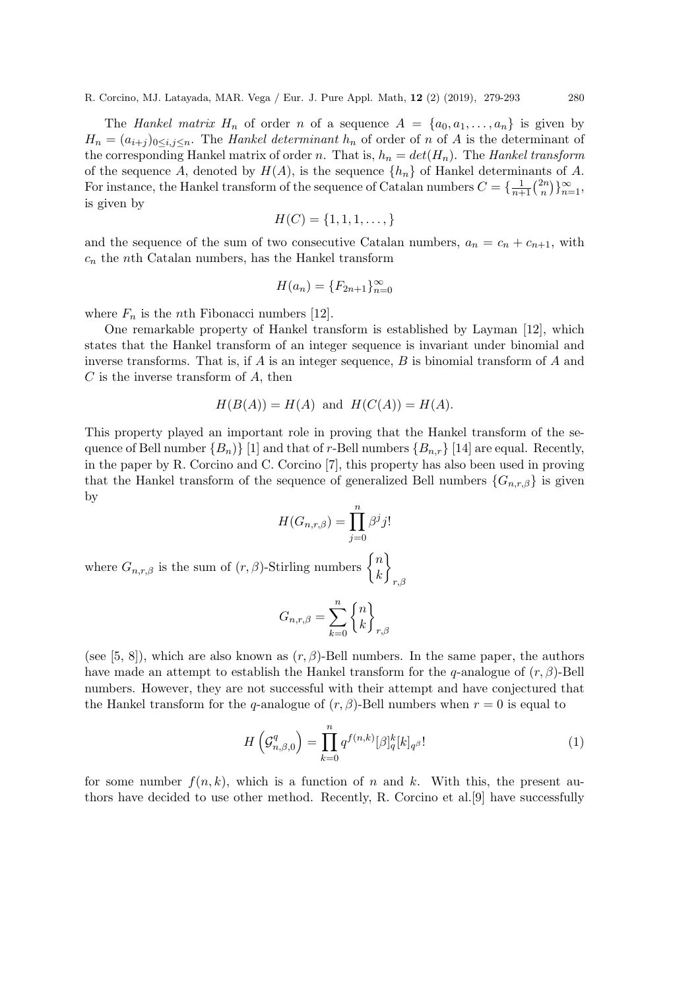The Hankel matrix  $H_n$  of order n of a sequence  $A = \{a_0, a_1, \ldots, a_n\}$  is given by  $H_n = (a_{i+j})_{0 \le i,j \le n}$ . The Hankel determinant  $h_n$  of order of n of A is the determinant of the corresponding Hankel matrix of order n. That is,  $h_n = det(H_n)$ . The Hankel transform of the sequence A, denoted by  $H(A)$ , is the sequence  $\{h_n\}$  of Hankel determinants of A. For instance, the Hankel transform of the sequence of Catalan numbers  $C = \{\frac{1}{n+1}\binom{2n}{n}$  ${n \choose n}$ } $\}_{n=1}^{\infty}$ , is given by

$$
H(C) = \{1, 1, 1, \dots, \}
$$

and the sequence of the sum of two consecutive Catalan numbers,  $a_n = c_n + c_{n+1}$ , with  $c_n$  the nth Catalan numbers, has the Hankel transform

$$
H(a_n) = \{F_{2n+1}\}_{n=0}^{\infty}
$$

where  $F_n$  is the *n*th Fibonacci numbers [12].

One remarkable property of Hankel transform is established by Layman [12], which states that the Hankel transform of an integer sequence is invariant under binomial and inverse transforms. That is, if  $A$  is an integer sequence,  $B$  is binomial transform of  $A$  and  $C$  is the inverse transform of  $A$ , then

$$
H(B(A)) = H(A) \text{ and } H(C(A)) = H(A).
$$

This property played an important role in proving that the Hankel transform of the sequence of Bell number  ${B_n}$  [1] and that of r-Bell numbers  ${B_{n,r}}$  [14] are equal. Recently, in the paper by R. Corcino and C. Corcino [7], this property has also been used in proving that the Hankel transform of the sequence of generalized Bell numbers  $\{G_{n,r,\beta}\}\$ is given by

$$
H(G_{n,r,\beta}) = \prod_{j=0}^{n} \beta^j j!
$$

where  $G_{n,r,\beta}$  is the sum of  $(r,\beta)$ -Stirling numbers  $\begin{cases} n \\ k \end{cases}$ k ો  $r,\beta$ 

$$
G_{n,r,\beta} = \sum_{k=0}^{n} \begin{Bmatrix} n \\ k \end{Bmatrix}_{r,\beta}
$$

(see [5, 8]), which are also known as  $(r, \beta)$ -Bell numbers. In the same paper, the authors have made an attempt to establish the Hankel transform for the q-analogue of  $(r, \beta)$ -Bell numbers. However, they are not successful with their attempt and have conjectured that the Hankel transform for the q-analogue of  $(r, \beta)$ -Bell numbers when  $r = 0$  is equal to

$$
H\left(\mathcal{G}_{n,\beta,0}^q\right) = \prod_{k=0}^n q^{f(n,k)} [\beta]_q^k [k]_{q^\beta}!\tag{1}
$$

for some number  $f(n, k)$ , which is a function of n and k. With this, the present authors have decided to use other method. Recently, R. Corcino et al.[9] have successfully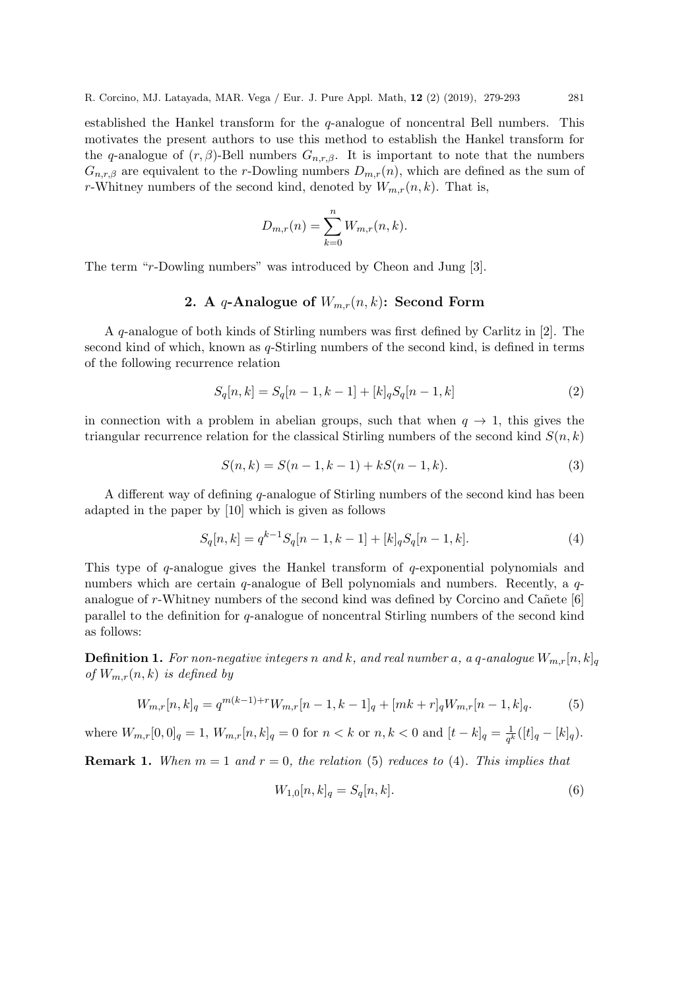established the Hankel transform for the q-analogue of noncentral Bell numbers. This motivates the present authors to use this method to establish the Hankel transform for the q-analogue of  $(r, \beta)$ -Bell numbers  $G_{n,r,\beta}$ . It is important to note that the numbers  $G_{n,r,\beta}$  are equivalent to the r-Dowling numbers  $D_{m,r}(n)$ , which are defined as the sum of r-Whitney numbers of the second kind, denoted by  $W_{m,r}(n, k)$ . That is,

$$
D_{m,r}(n) = \sum_{k=0}^{n} W_{m,r}(n,k).
$$

The term "r-Dowling numbers" was introduced by Cheon and Jung [3].

# 2. A q-Analogue of  $W_{m,r}(n,k)$ : Second Form

A q-analogue of both kinds of Stirling numbers was first defined by Carlitz in [2]. The second kind of which, known as q-Stirling numbers of the second kind, is defined in terms of the following recurrence relation

$$
S_q[n,k] = S_q[n-1,k-1] + [k]_q S_q[n-1,k]
$$
\n(2)

in connection with a problem in abelian groups, such that when  $q \to 1$ , this gives the triangular recurrence relation for the classical Stirling numbers of the second kind  $S(n, k)$ 

$$
S(n,k) = S(n-1,k-1) + kS(n-1,k).
$$
\n(3)

A different way of defining q-analogue of Stirling numbers of the second kind has been adapted in the paper by [10] which is given as follows

$$
S_q[n,k] = q^{k-1} S_q[n-1,k-1] + [k]_q S_q[n-1,k].
$$
\n(4)

This type of q-analogue gives the Hankel transform of q-exponential polynomials and numbers which are certain  $q$ -analogue of Bell polynomials and numbers. Recently, a  $q$ analogue of  $r$ -Whitney numbers of the second kind was defined by Corcino and Can ete [6] parallel to the definition for q-analogue of noncentral Stirling numbers of the second kind as follows:

**Definition 1.** For non-negative integers n and k, and real number a, a q-analogue  $W_{m,r}[n,k]_q$ of  $W_{m,r}(n, k)$  is defined by

$$
W_{m,r}[n,k]_q = q^{m(k-1)+r} W_{m,r}[n-1,k-1]_q + [mk+r]_q W_{m,r}[n-1,k]_q.
$$
 (5)

where  $W_{m,r}[0,0]_q = 1$ ,  $W_{m,r}[n,k]_q = 0$  for  $n < k$  or  $n, k < 0$  and  $[t - k]_q = \frac{1}{q^k}$  $\frac{1}{q^k}([t]_q - [k]_q).$ 

**Remark 1.** When  $m = 1$  and  $r = 0$ , the relation (5) reduces to (4). This implies that

$$
W_{1,0}[n,k]_q = S_q[n,k].
$$
\n(6)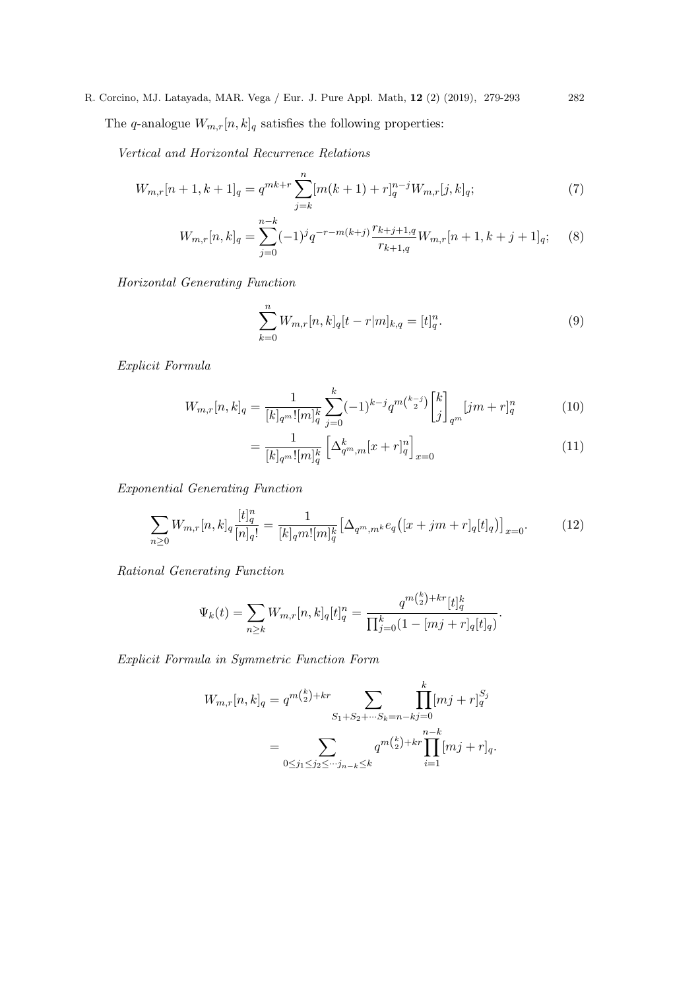The q-analogue  $W_{m,r}[n, k]_q$  satisfies the following properties:

Vertical and Horizontal Recurrence Relations

$$
W_{m,r}[n+1,k+1]_q = q^{mk+r} \sum_{j=k}^n [m(k+1) + r]_q^{n-j} W_{m,r}[j,k]_q; \tag{7}
$$

$$
W_{m,r}[n,k]_q = \sum_{j=0}^{n-k} (-1)^j q^{-r-m(k+j)} \frac{r_{k+j+1,q}}{r_{k+1,q}} W_{m,r}[n+1,k+j+1]_q; \quad (8)
$$

Horizontal Generating Function

$$
\sum_{k=0}^{n} W_{m,r}[n,k]_q[t-r|m]_{k,q} = [t]_q^n.
$$
\n(9)

Explicit Formula

$$
W_{m,r}[n,k]_q = \frac{1}{[k]_q^{m}! [m]_q^k} \sum_{j=0}^k (-1)^{k-j} q^{m\binom{k-j}{2}} \begin{bmatrix} k \\ j \end{bmatrix}_{q^m} [jm+r]_q^n \tag{10}
$$

$$
= \frac{1}{[k]_{q^m}![m]_q^k} \left[ \Delta_{q^m,m}^k [x+r]_q^n \right]_{x=0} \tag{11}
$$

Exponential Generating Function

$$
\sum_{n\geq 0} W_{m,r}[n,k]_q \frac{[t]_q^n}{[n]_q!} = \frac{1}{[k]_q m! [m]_q^k} \Big[ \Delta_{q^m,m^k} e_q \big( [x+jm+r]_q[t]_q \big) \Big]_{x=0}.
$$
 (12)

Rational Generating Function

$$
\Psi_k(t) = \sum_{n \ge k} W_{m,r}[n,k]_q[t]_q^n = \frac{q^{m\binom{k}{2}+kr}[t]_q^k}{\prod_{j=0}^k (1-[mj+r]_q[t]_q)}.
$$

Explicit Formula in Symmetric Function Form

$$
W_{m,r}[n,k]_q = q^{m {k \choose 2} + kr} \sum_{S_1 + S_2 + \dots + S_k = n - kj = 0} \prod_{0 \le j_1 \le j_2 \le \dots + j_{n-k} \le k}^{k} [mj + r]_q^{S_j}
$$

$$
= \sum_{0 \le j_1 \le j_2 \le \dots + j_{n-k} \le k} q^{m {k \choose 2} + kr} \prod_{i=1}^{n-k} [mj + r]_q.
$$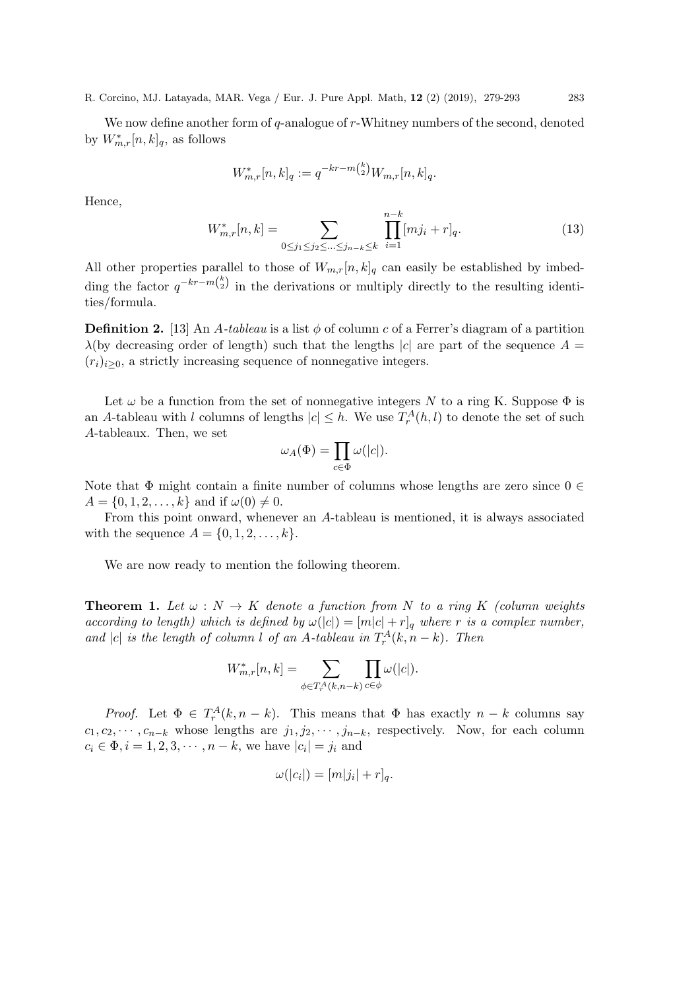We now define another form of  $q$ -analogue of  $r$ -Whitney numbers of the second, denoted by  $W_{m,r}^*[n,k]_q$ , as follows

$$
W_{m,r}^*[n,k]_q := q^{-kr-m\binom{k}{2}} W_{m,r}[n,k]_q.
$$

Hence,

$$
W_{m,r}^*[n,k] = \sum_{0 \le j_1 \le j_2 \le \dots \le j_{n-k} \le k} \prod_{i=1}^{n-k} [mj_i + r]_q.
$$
 (13)

All other properties parallel to those of  $W_{m,r}[n, k]_q$  can easily be established by imbedding the factor  $q^{-kr-m{k \choose 2}}$  in the derivations or multiply directly to the resulting identities/formula.

**Definition 2.** [13] An A-tableau is a list  $\phi$  of column c of a Ferrer's diagram of a partition  $\lambda$ (by decreasing order of length) such that the lengths |c| are part of the sequence  $A =$  $(r_i)_{i>0}$ , a strictly increasing sequence of nonnegative integers.

Let  $\omega$  be a function from the set of nonnegative integers N to a ring K. Suppose  $\Phi$  is an A-tableau with l columns of lengths  $|c| \leq h$ . We use  $T_r^A(h, l)$  to denote the set of such A-tableaux. Then, we set

$$
\omega_A(\Phi) = \prod_{c \in \Phi} \omega(|c|).
$$

Note that  $\Phi$  might contain a finite number of columns whose lengths are zero since  $0 \in$  $A = \{0, 1, 2, \ldots, k\}$  and if  $\omega(0) \neq 0$ .

From this point onward, whenever an A-tableau is mentioned, it is always associated with the sequence  $A = \{0, 1, 2, \ldots, k\}.$ 

We are now ready to mention the following theorem.

**Theorem 1.** Let  $\omega : N \to K$  denote a function from N to a ring K (column weights according to length) which is defined by  $\omega(|c|) = [m|c| + r]_q$  where r is a complex number, and |c| is the length of column l of an A-tableau in  $T_r^A(k, n - k)$ . Then

$$
W_{m,r}^*[n,k] = \sum_{\phi \in T_r^A(k,n-k)} \prod_{c \in \phi} \omega(|c|).
$$

*Proof.* Let  $\Phi \in T_r^A(k, n - k)$ . This means that  $\Phi$  has exactly  $n - k$  columns say  $c_1, c_2, \cdots, c_{n-k}$  whose lengths are  $j_1, j_2, \cdots, j_{n-k}$ , respectively. Now, for each column  $c_i \in \Phi, i = 1, 2, 3, \cdots, n - k$ , we have  $|c_i| = j_i$  and

$$
\omega(|c_i|) = [m|j_i| + r]_q.
$$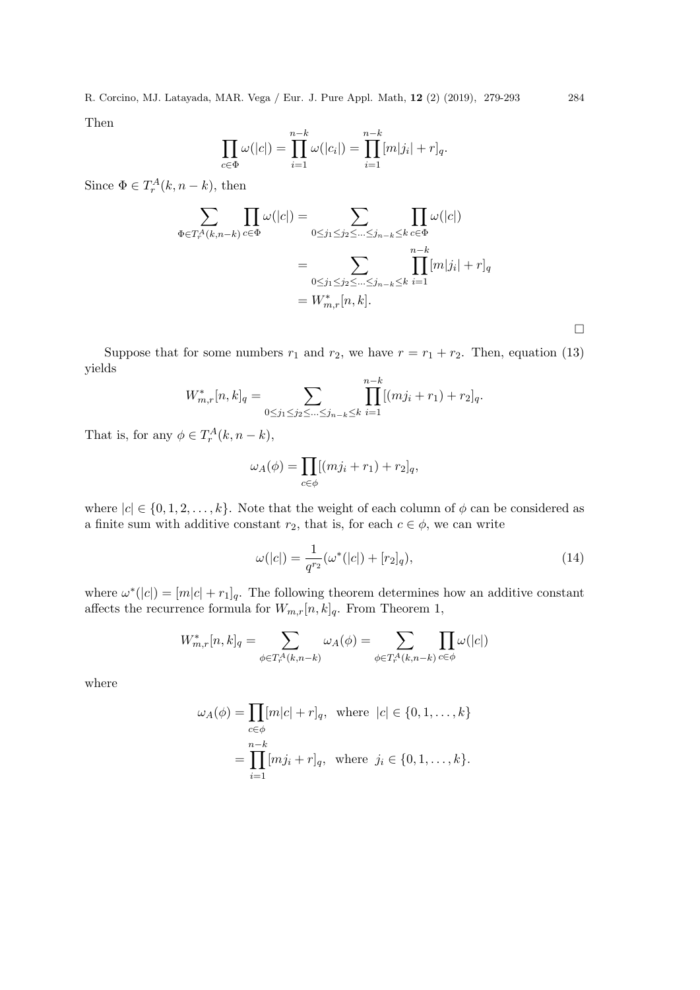Then

$$
\prod_{c \in \Phi} \omega(|c|) = \prod_{i=1}^{n-k} \omega(|c_i|) = \prod_{i=1}^{n-k} [m|j_i| + r]_q.
$$

Since  $\Phi \in T_r^A(k, n-k)$ , then

$$
\sum_{\Phi \in T_r^A(k, n-k)} \prod_{c \in \Phi} \omega(|c|) = \sum_{0 \le j_1 \le j_2 \le \dots \le j_{n-k} \le k} \prod_{c \in \Phi} \omega(|c|)
$$

$$
= \sum_{0 \le j_1 \le j_2 \le \dots \le j_{n-k} \le k} \prod_{i=1}^{n-k} [m|j_i| + r]_q
$$

$$
= W_{m,r}^*[n, k].
$$

 $\Box$ 

Suppose that for some numbers  $r_1$  and  $r_2$ , we have  $r = r_1 + r_2$ . Then, equation (13) yields

$$
W_{m,r}^*[n,k]_q = \sum_{0 \le j_1 \le j_2 \le \dots \le j_{n-k} \le k} \prod_{i=1}^{n-k} [(mj_i + r_1) + r_2]_q.
$$

That is, for any  $\phi \in T_r^A(k, n-k)$ ,

$$
\omega_A(\phi) = \prod_{c \in \phi} [(mj_i + r_1) + r_2]_q,
$$

where  $|c| \in \{0, 1, 2, \ldots, k\}$ . Note that the weight of each column of  $\phi$  can be considered as a finite sum with additive constant  $r_2$ , that is, for each  $c \in \phi$ , we can write

$$
\omega(|c|) = \frac{1}{q^{r_2}}(\omega^*(|c|) + [r_2]_q),\tag{14}
$$

where  $\omega^*(|c|) = [m|c| + r_1]_q$ . The following theorem determines how an additive constant affects the recurrence formula for  $W_{m,r}[n, k]_q$ . From Theorem 1,

$$
W_{m,r}^*[n,k]_q = \sum_{\phi \in T_r^A(k,n-k)} \omega_A(\phi) = \sum_{\phi \in T_r^A(k,n-k)} \prod_{c \in \phi} \omega(|c|)
$$

where

$$
\omega_A(\phi) = \prod_{c \in \phi} [m|c| + r]_q, \text{ where } |c| \in \{0, 1, ..., k\}
$$

$$
= \prod_{i=1}^{n-k} [mj_i + r]_q, \text{ where } j_i \in \{0, 1, ..., k\}.
$$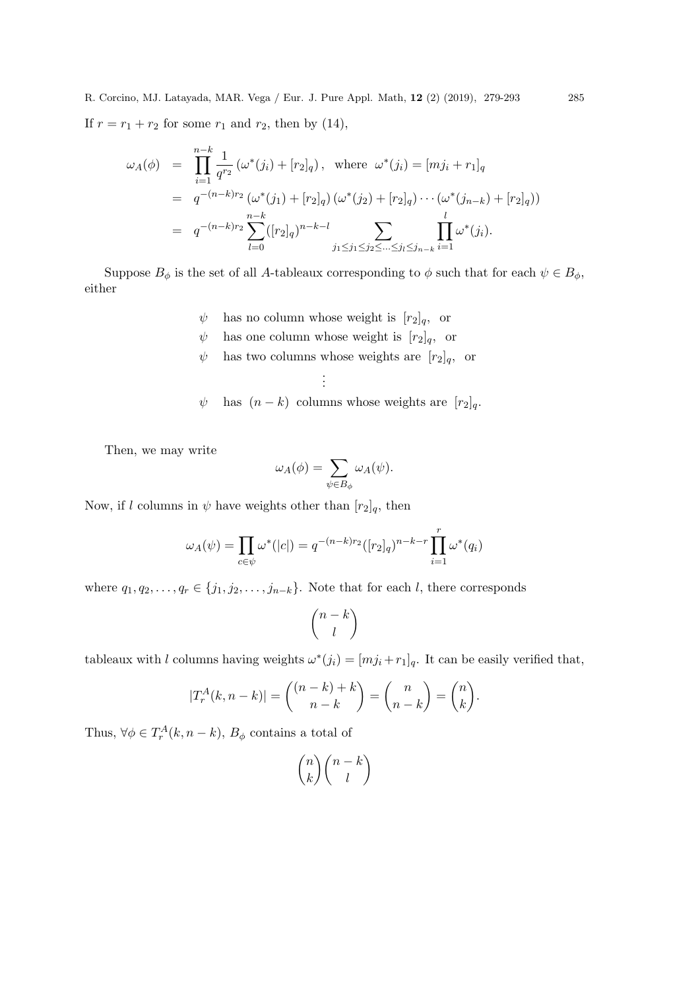$$
\omega_A(\phi) = \prod_{i=1}^{n-k} \frac{1}{q^{r_2}} (\omega^*(j_i) + [r_2]_q), \text{ where } \omega^*(j_i) = [mj_i + r_1]_q
$$
  
\n
$$
= q^{-(n-k)r_2} (\omega^*(j_1) + [r_2]_q) (\omega^*(j_2) + [r_2]_q) \cdots (\omega^*(j_{n-k}) + [r_2]_q))
$$
  
\n
$$
= q^{-(n-k)r_2} \sum_{l=0}^{n-k} ([r_2]_q)^{n-k-l} \sum_{j_1 \le j_1 \le j_2 \le \dots \le j_l \le j_{n-k}} \prod_{i=1}^l \omega^*(j_i).
$$

Suppose  $B_{\phi}$  is the set of all A-tableaux corresponding to  $\phi$  such that for each  $\psi \in B_{\phi}$ , either

- $\psi$  has no column whose weight is  $[r_2]_q$ , or
- $\psi$  has one column whose weight is  $[r_2]_q$ , or

. . .

 $\psi$  has two columns whose weights are  $[r_2]_q$ , or

$$
\psi
$$
 has  $(n - k)$  columns whose weights are  $[r_2]_q$ .

Then, we may write

$$
\omega_A(\phi)=\sum_{\psi\in B_\phi}\omega_A(\psi).
$$

Now, if l columns in  $\psi$  have weights other than  $[r_2]_q$ , then

$$
\omega_A(\psi) = \prod_{c \in \psi} \omega^*(|c|) = q^{-(n-k)r_2} ([r_2]_q)^{n-k-r} \prod_{i=1}^r \omega^*(q_i)
$$

where  $q_1, q_2, \ldots, q_r \in \{j_1, j_2, \ldots, j_{n-k}\}.$  Note that for each l, there corresponds

$$
\binom{n-k}{l}
$$

tableaux with l columns having weights  $\omega^*(j_i) = [mj_i + r_1]_q$ . It can be easily verified that,

$$
|T_r^A(k, n-k)| = \binom{(n-k)+k}{n-k} = \binom{n}{n-k} = \binom{n}{k}.
$$

Thus,  $\forall \phi \in T_r^A(k, n - k)$ ,  $B_\phi$  contains a total of

$$
\binom{n}{k}\binom{n-k}{l}
$$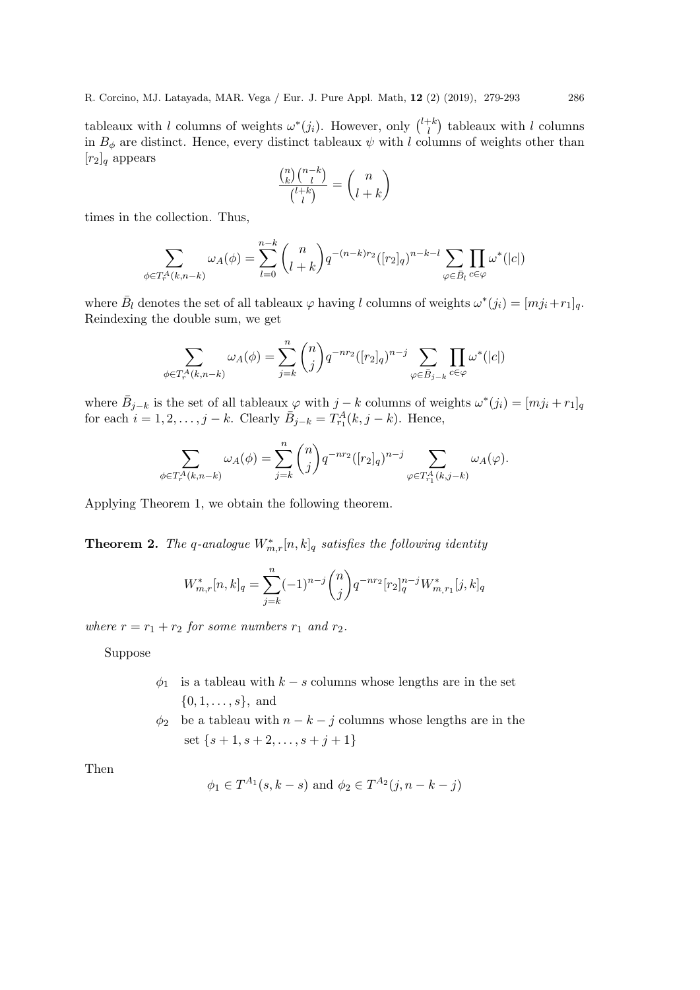tableaux with l columns of weights  $\omega^*(j_i)$ . However, only  $\binom{l+k}{l}$  $\binom{+k}{l}$  tableaux with l columns in  $B_{\phi}$  are distinct. Hence, every distinct tableaux  $\psi$  with l columns of weights other than  $[r_2]_q$  appears

$$
\frac{\binom{n}{k}\binom{n-k}{l}}{\binom{l+k}{l}}=\binom{n}{l+k}
$$

times in the collection. Thus,

$$
\sum_{\phi \in T_r^A(k, n-k)} \omega_A(\phi) = \sum_{l=0}^{n-k} \binom{n}{l+k} q^{-(n-k)r_2} ([r_2]_q)^{n-k-l} \sum_{\varphi \in \bar{B}_l} \prod_{c \in \varphi} \omega^*(|c|)
$$

where  $\bar{B}_l$  denotes the set of all tableaux  $\varphi$  having l columns of weights  $\omega^*(j_i) = [mj_i + r_1]_q$ . Reindexing the double sum, we get

$$
\sum_{\phi\in T_r^A(k,n-k)}\omega_A(\phi)=\sum_{j=k}^n\binom{n}{j}q^{-nr_2}([r_2]_q)^{n-j}\sum_{\varphi\in \bar{B}_{j-k}}\prod_{c\in \varphi}\omega^*(|c|)
$$

where  $\bar{B}_{j-k}$  is the set of all tableaux  $\varphi$  with  $j-k$  columns of weights  $\omega^*(j_i) = [mj_i + r_1]_q$ for each  $i = 1, 2, ..., j - k$ . Clearly  $\bar{B}_{j-k} = T_{r_1}^A(k, j - k)$ . Hence,

$$
\sum_{\phi \in T_r^A(k,n-k)} \omega_A(\phi) = \sum_{j=k}^n \binom{n}{j} q^{-nr_2} ([r_2]_q)^{n-j} \sum_{\varphi \in T_{r_1}^A(k,j-k)} \omega_A(\varphi).
$$

Applying Theorem 1, we obtain the following theorem.

**Theorem 2.** The q-analogue  $W_{m,r}^*[n, k]_q$  satisfies the following identity

$$
W_{m,r}^*[n,k]_q = \sum_{j=k}^n (-1)^{n-j} \binom{n}{j} q^{-nr_2} [r_2]_q^{n-j} W_{m,r_1}^*[j,k]_q
$$

where  $r = r_1 + r_2$  for some numbers  $r_1$  and  $r_2$ .

Suppose

- $\phi_1$  is a tableau with  $k s$  columns whose lengths are in the set  $\{0, 1, \ldots, s\}$ , and
- $\phi_2$  be a tableau with  $n k j$  columns whose lengths are in the set  $\{s+1, s+2, \ldots, s+j+1\}$

Then

$$
\phi_1 \in T^{A_1}(s, k-s)
$$
 and  $\phi_2 \in T^{A_2}(j, n-k-j)$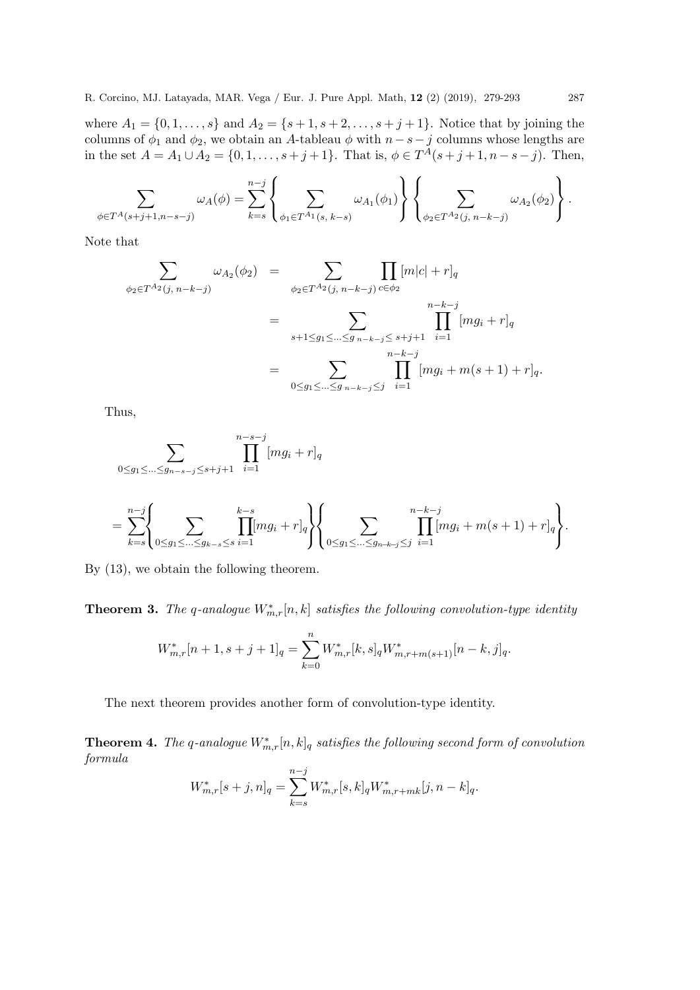where  $A_1 = \{0, 1, ..., s\}$  and  $A_2 = \{s + 1, s + 2, ..., s + j + 1\}$ . Notice that by joining the columns of  $\phi_1$  and  $\phi_2$ , we obtain an A-tableau  $\phi$  with  $n-s-j$  columns whose lengths are in the set  $A = A_1 \cup A_2 = \{0, 1, \ldots, s + j + 1\}$ . That is,  $\phi \in T^A(s + j + 1, n - s - j)$ . Then,

$$
\sum_{\phi \in T^{A}(s+j+1,n-s-j)} \omega_{A}(\phi) = \sum_{k=s}^{n-j} \left\{ \sum_{\phi_{1} \in T^{A_{1}}(s, k-s)} \omega_{A_{1}}(\phi_{1}) \right\} \left\{ \sum_{\phi_{2} \in T^{A_{2}}(j, n-k-j)} \omega_{A_{2}}(\phi_{2}) \right\}.
$$

Note that

$$
\sum_{\phi_2 \in T^{A_2}(j, n-k-j)} \omega_{A_2}(\phi_2) = \sum_{\phi_2 \in T^{A_2}(j, n-k-j)} \prod_{c \in \phi_2} [m|c| + r]_q
$$
\n
$$
= \sum_{s+1 \le g_1 \le \dots \le g} \prod_{n-k-j \le s+j+1}^{n-k-j} [mg_i + r]_q
$$
\n
$$
= \sum_{0 \le g_1 \le \dots \le g} \prod_{n-k-j \le j}^{n-k-j} [mg_i + m(s+1) + r]_q.
$$

Thus,

$$
\sum_{0 \le g_1 \le \dots \le g_{n-s-j} \le s+j+1} \prod_{i=1}^{n-s-j} [mg_i + r]_q
$$

$$
= \sum_{k=s}^{n-j} \left\{ \sum_{0 \le g_1 \le \dots \le g_{k-s} \le s} \prod_{i=1}^{k-s} [mg_i + r]_q \right\} \left\{ \sum_{0 \le g_1 \le \dots \le g_{n-k-j} \le j} \prod_{i=1}^{n-k-j} [mg_i + m(s+1) + r]_q \right\}.
$$

By (13), we obtain the following theorem.

**Theorem 3.** The q-analogue  $W_{m,r}^*[n, k]$  satisfies the following convolution-type identity

$$
W_{m,r}^*[n+1,s+j+1]_q = \sum_{k=0}^n W_{m,r}^*[k,s]_q W_{m,r+m(s+1)}^*[n-k,j]_q.
$$

The next theorem provides another form of convolution-type identity.

**Theorem 4.** The q-analogue  $W_{m,r}^*[n, k]_q$  satisfies the following second form of convolution formula

$$
W_{m,r}^*[s+j,n]_q = \sum_{k=s}^{n-j} W_{m,r}^*[s,k]_q W_{m,r+mk}^*[j,n-k]_q.
$$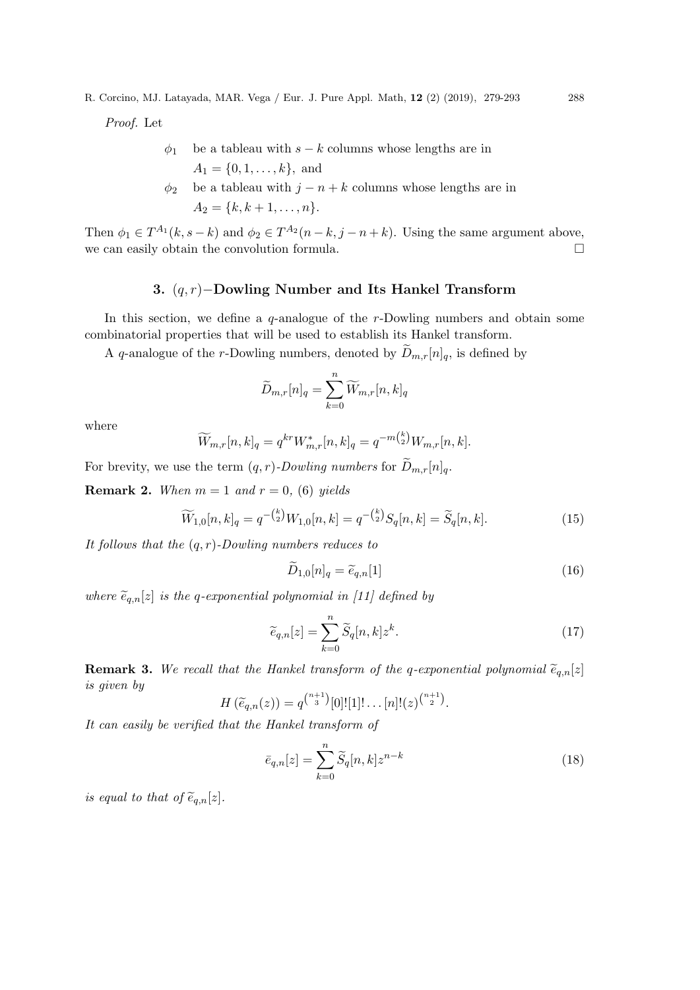Proof. Let

- $\phi_1$  be a tableau with s k columns whose lengths are in  $A_1 = \{0, 1, \ldots, k\},\$ and
- $\phi_2$  be a tableau with  $j n + k$  columns whose lengths are in  $A_2 = \{k, k+1, \ldots, n\}.$

Then  $\phi_1 \in T^{A_1}(k, s - k)$  and  $\phi_2 \in T^{A_2}(n - k, j - n + k)$ . Using the same argument above, we can easily obtain the convolution formula.  $\Box$ 

## 3. (q, r)−Dowling Number and Its Hankel Transform

In this section, we define a q-analogue of the r-Dowling numbers and obtain some combinatorial properties that will be used to establish its Hankel transform.

A q-analogue of the r-Dowling numbers, denoted by  $\widetilde{D}_{m,r}[n]_q$ , is defined by

$$
\widetilde{D}_{m,r}[n]_q = \sum_{k=0}^n \widetilde{W}_{m,r}[n,k]_q
$$

where

$$
\widetilde{W}_{m,r}[n,k]_q = q^{kr} W_{m,r}^*[n,k]_q = q^{-m\binom{k}{2}} W_{m,r}[n,k].
$$

For brevity, we use the term  $(q, r)$ -Dowling numbers for  $\widetilde{D}_{m,r}[n]_q$ .

**Remark 2.** When  $m = 1$  and  $r = 0$ , (6) yields

$$
\widetilde{W}_{1,0}[n,k]_q = q^{-\binom{k}{2}} W_{1,0}[n,k] = q^{-\binom{k}{2}} S_q[n,k] = \widetilde{S}_q[n,k].
$$
\n(15)

It follows that the  $(q, r)$ -Dowling numbers reduces to

$$
\widetilde{D}_{1,0}[n]_q = \widetilde{e}_{q,n}[1] \tag{16}
$$

where  $\tilde{e}_{q,n}[z]$  is the q-exponential polynomial in [11] defined by

$$
\widetilde{e}_{q,n}[z] = \sum_{k=0}^{n} \widetilde{S}_q[n,k] z^k.
$$
\n(17)

**Remark 3.** We recall that the Hankel transform of the q-exponential polynomial  $\tilde{e}_{q,n}[z]$ is given by

$$
H(\widetilde{e}_{q,n}(z))=q^{\binom{n+1}{3}}[0]![1]!\ldots[n]!(z)^{\binom{n+1}{2}}.
$$

It can easily be verified that the Hankel transform of

$$
\bar{e}_{q,n}[z] = \sum_{k=0}^{n} \widetilde{S}_q[n,k] z^{n-k}
$$
\n(18)

is equal to that of  $\widetilde{e}_{q,n}[z]$ .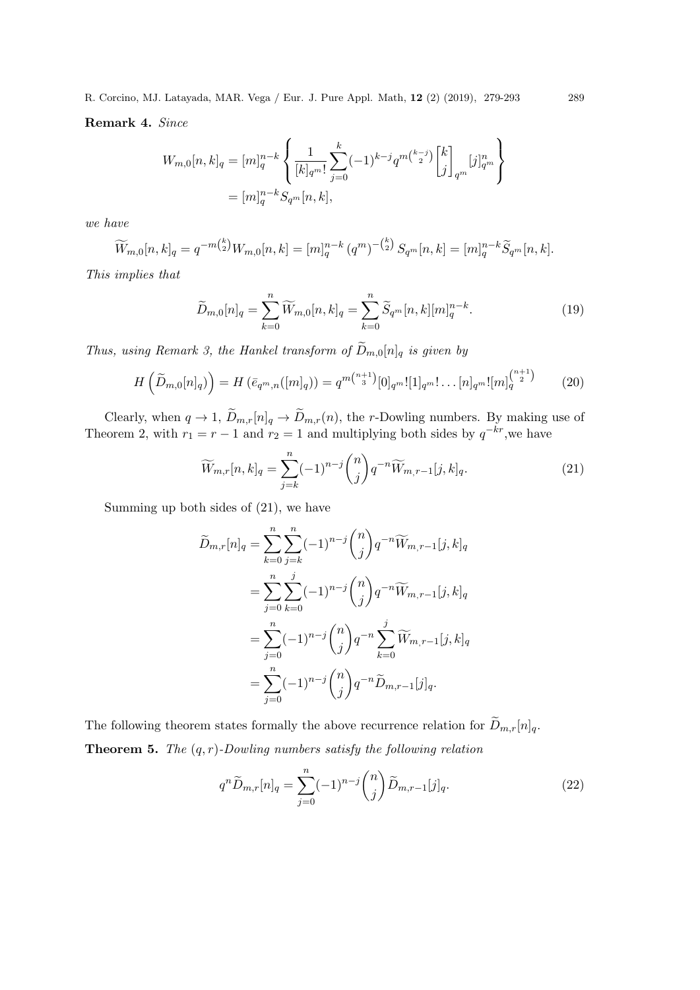Remark 4. Since

$$
W_{m,0}[n,k]_q = [m]_q^{n-k} \left\{ \frac{1}{[k]_{q^m}!} \sum_{j=0}^k (-1)^{k-j} q^{m\binom{k-j}{2}} \begin{bmatrix} k \\ j \end{bmatrix}_{q^m} [j]_{q^m}^n \right\}
$$
  
=  $[m]_q^{n-k} S_{q^m}[n,k],$ 

we have

$$
\widetilde{W}_{m,0}[n,k]_q = q^{-m\binom{k}{2}} W_{m,0}[n,k] = [m]_q^{n-k} (q^m)^{-\binom{k}{2}} S_{q^m}[n,k] = [m]_q^{n-k} \widetilde{S}_{q^m}[n,k].
$$

This implies that

$$
\widetilde{D}_{m,0}[n]_q = \sum_{k=0}^n \widetilde{W}_{m,0}[n,k]_q = \sum_{k=0}^n \widetilde{S}_{q^m}[n,k][m]_q^{n-k}.
$$
\n(19)

Thus, using Remark 3, the Hankel transform of  $\widetilde{D}_{m,0}[n]_q$  is given by

$$
H\left(\widetilde{D}_{m,0}[n]_q\right) = H\left(\overline{e}_{q^m,n}([m]_q)\right) = q^{m\binom{n+1}{3}}[0]_{q^m}![1]_{q^m}!\dots[n]_{q^m}![m]_q^{\binom{n+1}{2}}\tag{20}
$$

Clearly, when  $q \to 1$ ,  $D_{m,r}[n]_q \to D_{m,r}(n)$ , the r-Dowling numbers. By making use of Theorem 2, with  $r_1 = r - 1$  and  $r_2 = 1$  and multiplying both sides by  $q^{-kr}$ , we have

$$
\widetilde{W}_{m,r}[n,k]_q = \sum_{j=k}^n (-1)^{n-j} \binom{n}{j} q^{-n} \widetilde{W}_{m,r-1}[j,k]_q.
$$
\n(21)

Summing up both sides of (21), we have

$$
\widetilde{D}_{m,r}[n]_q = \sum_{k=0}^n \sum_{j=k}^n (-1)^{n-j} \binom{n}{j} q^{-n} \widetilde{W}_{m,r-1}[j,k]_q
$$
\n
$$
= \sum_{j=0}^n \sum_{k=0}^j (-1)^{n-j} \binom{n}{j} q^{-n} \widetilde{W}_{m,r-1}[j,k]_q
$$
\n
$$
= \sum_{j=0}^n (-1)^{n-j} \binom{n}{j} q^{-n} \sum_{k=0}^j \widetilde{W}_{m,r-1}[j,k]_q
$$
\n
$$
= \sum_{j=0}^n (-1)^{n-j} \binom{n}{j} q^{-n} \widetilde{D}_{m,r-1}[j]_q.
$$

The following theorem states formally the above recurrence relation for  $\widetilde{D}_{m,r}[n]_q.$ **Theorem 5.** The  $(q, r)$ -Dowling numbers satisfy the following relation

$$
q^{n}\widetilde{D}_{m,r}[n]_q = \sum_{j=0}^{n}(-1)^{n-j}\binom{n}{j}\widetilde{D}_{m,r-1}[j]_q.
$$
\n(22)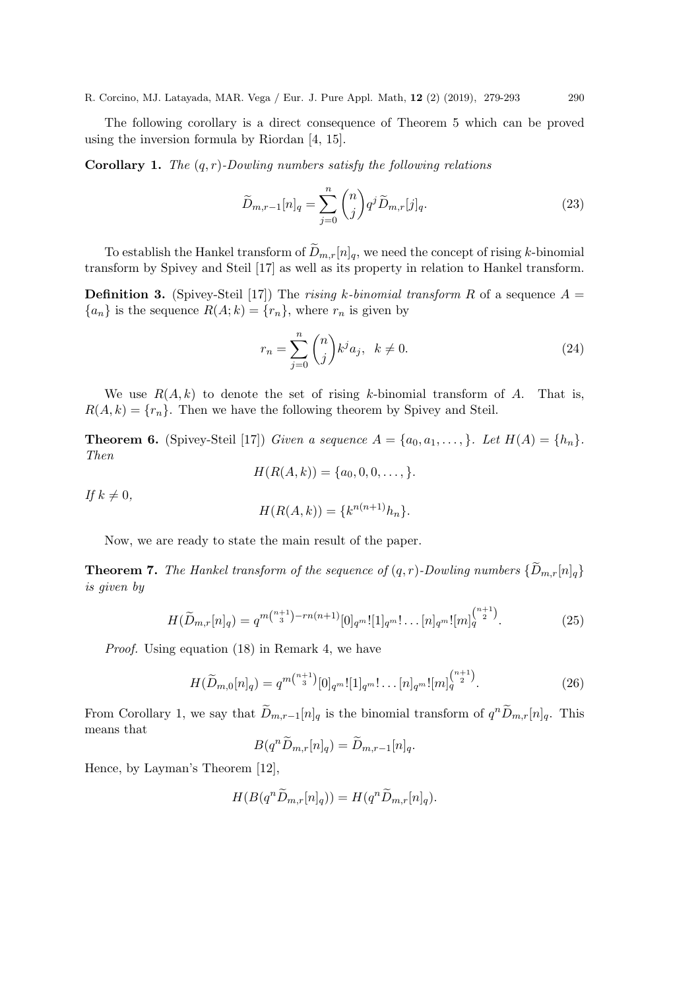The following corollary is a direct consequence of Theorem 5 which can be proved using the inversion formula by Riordan [4, 15].

**Corollary 1.** The  $(q, r)$ -Dowling numbers satisfy the following relations

$$
\widetilde{D}_{m,r-1}[n]_q = \sum_{j=0}^n \binom{n}{j} q^j \widetilde{D}_{m,r}[j]_q.
$$
\n(23)

To establish the Hankel transform of  $\widetilde{D}_{m,r}[n]_q$ , we need the concept of rising k-binomial transform by Spivey and Steil [17] as well as its property in relation to Hankel transform.

**Definition 3.** (Spivey-Steil [17]) The rising k-binomial transform R of a sequence  $A =$  ${a_n}$  is the sequence  $R(A; k) = {r_n}$ , where  $r_n$  is given by

$$
r_n = \sum_{j=0}^n \binom{n}{j} k^j a_j, \quad k \neq 0.
$$
 (24)

We use  $R(A, k)$  to denote the set of rising k-binomial transform of A. That is,  $R(A, k) = \{r_n\}.$  Then we have the following theorem by Spivey and Steil.

**Theorem 6.** (Spivey-Steil [17]) Given a sequence  $A = \{a_0, a_1, \ldots, \}$ . Let  $H(A) = \{h_n\}$ . Then

$$
H(R(A,k)) = \{a_0, 0, 0, \ldots, \}.
$$

If  $k \neq 0$ ,

$$
H(R(A,k)) = \{k^{n(n+1)}h_n\}.
$$

Now, we are ready to state the main result of the paper.

**Theorem 7.** The Hankel transform of the sequence of  $(q, r)$ -Dowling numbers  $\{\widetilde{D}_{m,r}[n]_q\}$ is given by

$$
H(\widetilde{D}_{m,r}[n]_q) = q^{m\binom{n+1}{3} - rn(n+1)}[0]_{q^m}![1]_{q^m}!\dots[n]_{q^m}![m]_q^{\binom{n+1}{2}}.
$$
\n(25)

Proof. Using equation (18) in Remark 4, we have

$$
H(\widetilde{D}_{m,0}[n]_q) = q^{m\binom{n+1}{3}}[0]_{q^m}![1]_{q^m}!\dots[n]_{q^m}![m]_q^{\binom{n+1}{2}}.
$$
\n(26)

From Corollary 1, we say that  $\tilde{D}_{m,r-1}[n]_q$  is the binomial transform of  $q^n\tilde{D}_{m,r}[n]_q$ . This means that

$$
B(q^n\widetilde{D}_{m,r}[n]_q)=\widetilde{D}_{m,r-1}[n]_q.
$$

Hence, by Layman's Theorem [12],

$$
H(B(q^n\widetilde{D}_{m,r}[n]_q)) = H(q^n\widetilde{D}_{m,r}[n]_q).
$$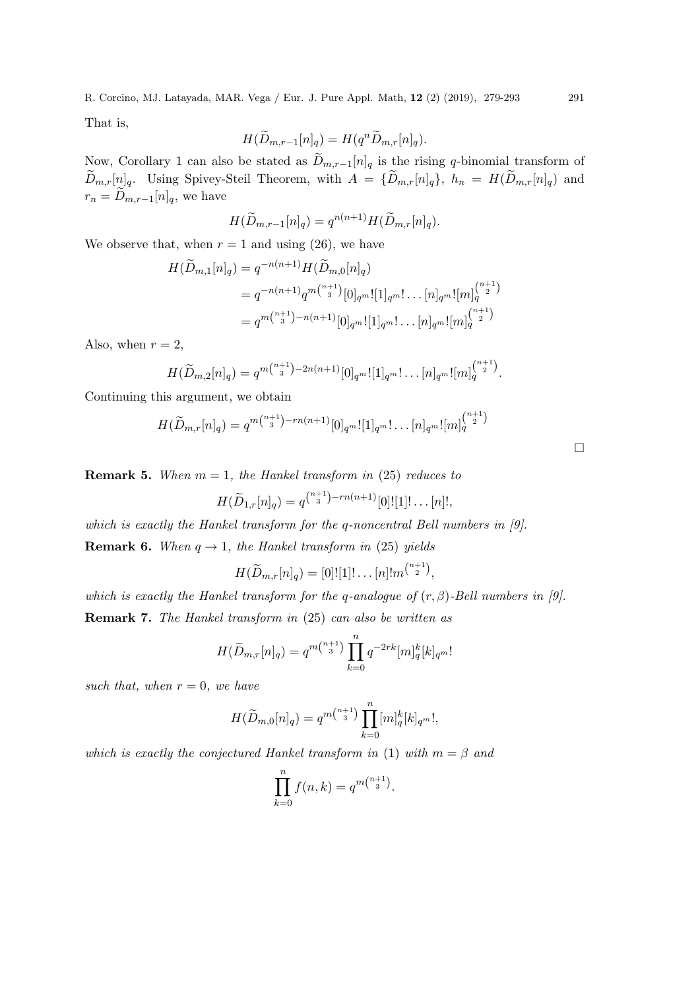That is,

$$
H(\widetilde{D}_{m,r-1}[n]_q) = H(q^n \widetilde{D}_{m,r}[n]_q).
$$

Now, Corollary 1 can also be stated as  $\widetilde{D}_{m,r-1}[n]_q$  is the rising q-binomial transform of  $\widetilde{D}_{m,r}[n]_q$ . Using Spivey-Steil Theorem, with  $A = \{\widetilde{D}_{m,r}[n]_q\}$ ,  $h_n = H(\widetilde{D}_{m,r}[n]_q)$  and  $r_n = \widetilde{D}_{m,r-1}[n]_q$ , we have

$$
H(\widetilde{D}_{m,r-1}[n]_q) = q^{n(n+1)} H(\widetilde{D}_{m,r}[n]_q).
$$

We observe that, when  $r = 1$  and using (26), we have

$$
H(\widetilde{D}_{m,1}[n]_q) = q^{-n(n+1)} H(\widetilde{D}_{m,0}[n]_q)
$$
  
=  $q^{-n(n+1)} q^{m{n+1 \choose 3}} [0]_{q^m}! [1]_{q^m}! \dots [n]_{q^m}! [m]_q^{{n+1 \choose 2}}$   
=  $q^{m{n+1 \choose 3}-n(n+1)} [0]_{q^m}! [1]_{q^m}! \dots [n]_{q^m}! [m]_q^{{n+1 \choose 2}}$ 

Also, when  $r = 2$ ,

$$
H(\widetilde{D}_{m,2}[n]_q) = q^{m\binom{n+1}{3}-2n(n+1)}[0]_{q^m}![1]_{q^m}!\dots[n]_{q^m}![m]_q^{\binom{n+1}{2}}.
$$

Continuing this argument, we obtain

$$
H(\widetilde{D}_{m,r}[n]_q) = q^{m{n+1 \choose 3} - rn(n+1)}[0]_{q^m}![1]_{q^m}!\dots[n]_{q^m}![m]_q^{{n+1 \choose 2}}
$$

**Remark 5.** When  $m = 1$ , the Hankel transform in (25) reduces to

$$
H(\widetilde{D}_{1,r}[n]_q) = q^{\binom{n+1}{3}-rn(n+1)}[0]![1]!\dots[n]!,
$$

which is exactly the Hankel transform for the q-noncentral Bell numbers in [9]. **Remark 6.** When  $q \rightarrow 1$ , the Hankel transform in (25) yields

$$
H(\widetilde{D}_{m,r}[n]_q) = [0]![1]!\dots[n]!m^{\binom{n+1}{2}},
$$

which is exactly the Hankel transform for the q-analogue of  $(r, \beta)$ -Bell numbers in [9]. Remark 7. The Hankel transform in (25) can also be written as

$$
H(\widetilde{D}_{m,r}[n]_q) = q^{m\binom{n+1}{3}} \prod_{k=0}^n q^{-2rk} [m]_q^k [k]_{q^m}!
$$

such that, when  $r = 0$ , we have

$$
H(\widetilde{D}_{m,0}[n]_q) = q^{m\binom{n+1}{3}} \prod_{k=0}^n [m]_q^k [k]_{q^m}!,
$$

which is exactly the conjectured Hankel transform in (1) with  $m = \beta$  and

$$
\prod_{k=0}^{n} f(n,k) = q^{m{n+1 \choose 3}}.
$$

 $\Box$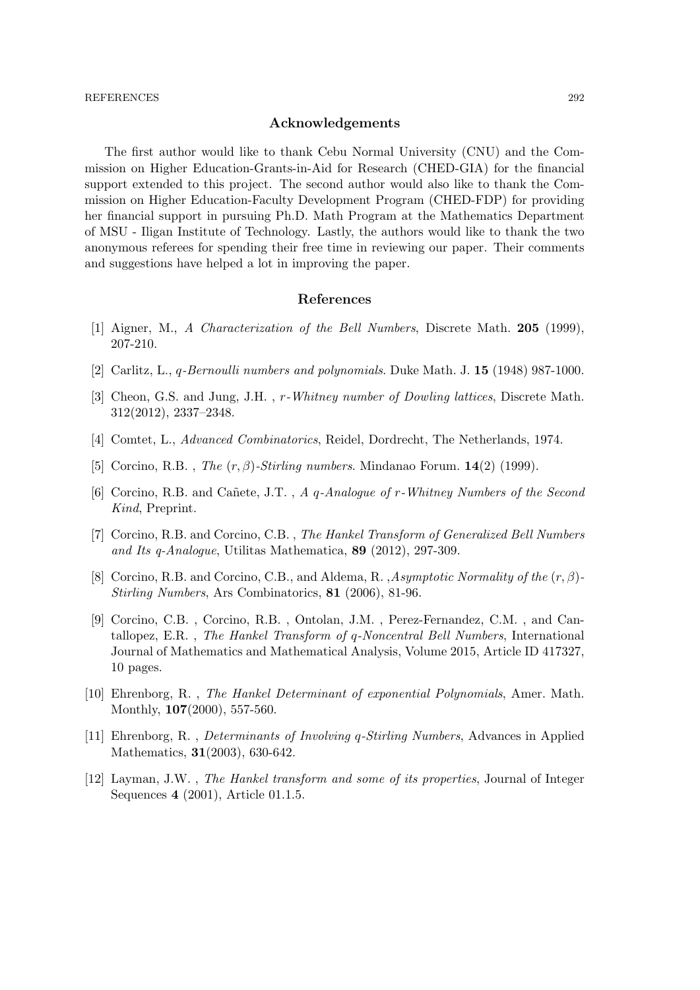#### Acknowledgements

The first author would like to thank Cebu Normal University (CNU) and the Commission on Higher Education-Grants-in-Aid for Research (CHED-GIA) for the financial support extended to this project. The second author would also like to thank the Commission on Higher Education-Faculty Development Program (CHED-FDP) for providing her financial support in pursuing Ph.D. Math Program at the Mathematics Department of MSU - Iligan Institute of Technology. Lastly, the authors would like to thank the two anonymous referees for spending their free time in reviewing our paper. Their comments and suggestions have helped a lot in improving the paper.

#### References

- [1] Aigner, M., A Characterization of the Bell Numbers, Discrete Math. 205 (1999), 207-210.
- [2] Carlitz, L., q-Bernoulli numbers and polynomials. Duke Math. J. 15 (1948) 987-1000.
- [3] Cheon, G.S. and Jung, J.H. , r-Whitney number of Dowling lattices, Discrete Math. 312(2012), 2337–2348.
- [4] Comtet, L., Advanced Combinatorics, Reidel, Dordrecht, The Netherlands, 1974.
- [5] Corcino, R.B., *The*  $(r, \beta)$ -*Stirling numbers.* Mindanao Forum. **14**(2) (1999).
- [6] Corcino, R.B. and Cañete, J.T., A q-Analogue of r-Whitney Numbers of the Second Kind, Preprint.
- [7] Corcino, R.B. and Corcino, C.B. , The Hankel Transform of Generalized Bell Numbers and Its q-Analogue, Utilitas Mathematica, 89 (2012), 297-309.
- [8] Corcino, R.B. and Corcino, C.B., and Aldema, R., Asymptotic Normality of the  $(r, \beta)$ -Stirling Numbers, Ars Combinatorics, 81 (2006), 81-96.
- [9] Corcino, C.B. , Corcino, R.B. , Ontolan, J.M. , Perez-Fernandez, C.M. , and Cantallopez, E.R. , The Hankel Transform of q-Noncentral Bell Numbers, International Journal of Mathematics and Mathematical Analysis, Volume 2015, Article ID 417327, 10 pages.
- [10] Ehrenborg, R. , The Hankel Determinant of exponential Polynomials, Amer. Math. Monthly, 107(2000), 557-560.
- [11] Ehrenborg, R. , Determinants of Involving q-Stirling Numbers, Advances in Applied Mathematics, 31(2003), 630-642.
- [12] Layman, J.W. , The Hankel transform and some of its properties, Journal of Integer Sequences 4 (2001), Article 01.1.5.